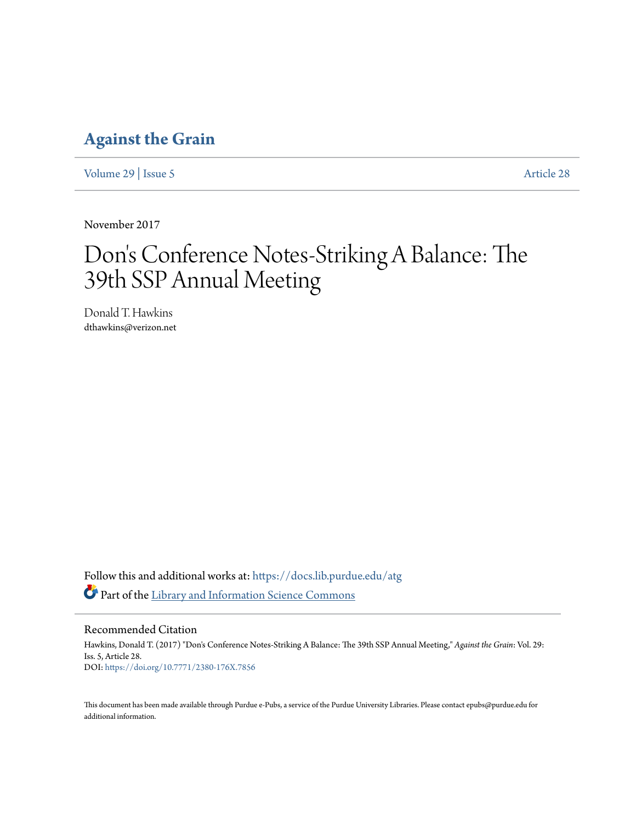# **[Against the Grain](https://docs.lib.purdue.edu/atg?utm_source=docs.lib.purdue.edu%2Fatg%2Fvol29%2Fiss5%2F28&utm_medium=PDF&utm_campaign=PDFCoverPages)**

[Volume 29](https://docs.lib.purdue.edu/atg/vol29?utm_source=docs.lib.purdue.edu%2Fatg%2Fvol29%2Fiss5%2F28&utm_medium=PDF&utm_campaign=PDFCoverPages) | [Issue 5](https://docs.lib.purdue.edu/atg/vol29/iss5?utm_source=docs.lib.purdue.edu%2Fatg%2Fvol29%2Fiss5%2F28&utm_medium=PDF&utm_campaign=PDFCoverPages) [Article 28](https://docs.lib.purdue.edu/atg/vol29/iss5/28?utm_source=docs.lib.purdue.edu%2Fatg%2Fvol29%2Fiss5%2F28&utm_medium=PDF&utm_campaign=PDFCoverPages)

November 2017

# Don 's Conference Notes-Striking A Balance: The 39th SSP Annual Meeting

Donald T. Hawkins dthawkins@verizon.net

Follow this and additional works at: [https://docs.lib.purdue.edu/atg](https://docs.lib.purdue.edu/atg?utm_source=docs.lib.purdue.edu%2Fatg%2Fvol29%2Fiss5%2F28&utm_medium=PDF&utm_campaign=PDFCoverPages) Part of the [Library and Information Science Commons](http://network.bepress.com/hgg/discipline/1018?utm_source=docs.lib.purdue.edu%2Fatg%2Fvol29%2Fiss5%2F28&utm_medium=PDF&utm_campaign=PDFCoverPages)

Recommended Citation

Hawkins, Donald T. (2017) "Don's Conference Notes-Striking A Balance: The 39th SSP Annual Meeting," *Against the Grain*: Vol. 29: Iss. 5, Article 28. DOI: <https://doi.org/10.7771/2380-176X.7856>

This document has been made available through Purdue e-Pubs, a service of the Purdue University Libraries. Please contact epubs@purdue.edu for additional information.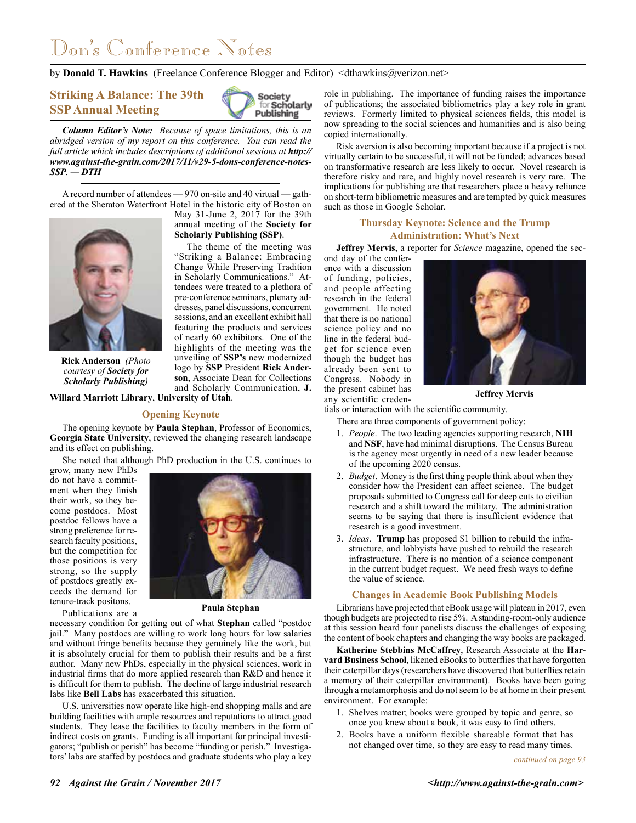# Don's Conference Notes

by **Donald T. Hawkins** (Freelance Conference Blogger and Editor) <dthawkins@verizon.net>

annual meeting of the **Society for Scholarly Publishing (SSP)**.

The theme of the meeting was "Striking a Balance: Embracing Change While Preserving Tradition in Scholarly Communications." Attendees were treated to a plethora of pre-conference seminars, plenary addresses, panel discussions, concurrent sessions, and an excellent exhibit hall featuring the products and services of nearly 60 exhibitors. One of the highlights of the meeting was the unveiling of **SSP's** new modernized logo by **SSP** President **Rick Anderson**, Associate Dean for Collections and Scholarly Communication, **J.** 

**Striking A Balance: The 39th SSP Annual Meeting**



*Column Editor's Note: Because of space limitations, this is an abridged version of my report on this conference. You can read the full article which includes descriptions of additional sessions at <i>http:// www.against-the-grain.com/2017/11/v29-5-dons-conference-notes-SSP. — DTH*

A record number of attendees — 970 on-site and 40 virtual — gathered at the Sheraton Waterfront Hotel in the historic city of Boston on May 31-June 2, 2017 for the 39th



**Rick Anderson** *(Photo courtesy of Society for Scholarly Publishing)*

**Willard Marriott Library**, **University of Utah**.

#### **Opening Keynote**

The opening keynote by **Paula Stephan**, Professor of Economics, **Georgia State University**, reviewed the changing research landscape and its effect on publishing.

She noted that although PhD production in the U.S. continues to

grow, many new PhDs do not have a commitment when they finish their work, so they become postdocs. Most postdoc fellows have a strong preference for research faculty positions, but the competition for those positions is very strong, so the supply of postdocs greatly exceeds the demand for tenure-track positons.

Publications are a



**Paula Stephan**

necessary condition for getting out of what **Stephan** called "postdoc jail." Many postdocs are willing to work long hours for low salaries and without fringe benefits because they genuinely like the work, but it is absolutely crucial for them to publish their results and be a first author. Many new PhDs, especially in the physical sciences, work in industrial firms that do more applied research than R&D and hence it is difficult for them to publish. The decline of large industrial research labs like **Bell Labs** has exacerbated this situation.

U.S. universities now operate like high-end shopping malls and are building facilities with ample resources and reputations to attract good students. They lease the facilities to faculty members in the form of indirect costs on grants. Funding is all important for principal investigators; "publish or perish" has become "funding or perish." Investigators' labs are staffed by postdocs and graduate students who play a key

role in publishing. The importance of funding raises the importance of publications; the associated bibliometrics play a key role in grant reviews. Formerly limited to physical sciences fields, this model is now spreading to the social sciences and humanities and is also being copied internationally.

Risk aversion is also becoming important because if a project is not virtually certain to be successful, it will not be funded; advances based on transformative research are less likely to occur. Novel research is therefore risky and rare, and highly novel research is very rare. The implications for publishing are that researchers place a heavy reliance on short-term bibliometric measures and are tempted by quick measures such as those in Google Scholar.

# **Thursday Keynote: Science and the Trump Administration: What's Next**

**Jeffrey Mervis**, a reporter for *Science* magazine, opened the sec-

ond day of the conference with a discussion of funding, policies, and people affecting research in the federal government. He noted that there is no national science policy and no line in the federal budget for science even though the budget has already been sent to Congress. Nobody in the present cabinet has any scientific creden-



**Jeffrey Mervis**

tials or interaction with the scientific community.

There are three components of government policy:

- 1. *People*. The two leading agencies supporting research, **NIH** and **NSF**, have had minimal disruptions. The Census Bureau is the agency most urgently in need of a new leader because of the upcoming 2020 census.
- 2. *Budget*. Money is the first thing people think about when they consider how the President can affect science. The budget proposals submitted to Congress call for deep cuts to civilian research and a shift toward the military. The administration seems to be saying that there is insufficient evidence that research is a good investment.
- 3. *Ideas*. **Trump** has proposed \$1 billion to rebuild the infrastructure, and lobbyists have pushed to rebuild the research infrastructure. There is no mention of a science component in the current budget request. We need fresh ways to define the value of science.

#### **Changes in Academic Book Publishing Models**

Librarians have projected that eBook usage will plateau in 2017, even though budgets are projected to rise 5%. A standing-room-only audience at this session heard four panelists discuss the challenges of exposing the content of book chapters and changing the way books are packaged.

**Katherine Stebbins McCaffrey**, Research Associate at the **Harvard Business School**, likened eBooks to butterflies that have forgotten their caterpillar days (researchers have discovered that butterflies retain a memory of their caterpillar environment). Books have been going through a metamorphosis and do not seem to be at home in their present environment. For example:

- 1. Shelves matter; books were grouped by topic and genre, so once you knew about a book, it was easy to find others.
- 2. Books have a uniform flexible shareable format that has not changed over time, so they are easy to read many times.

*continued on page 93*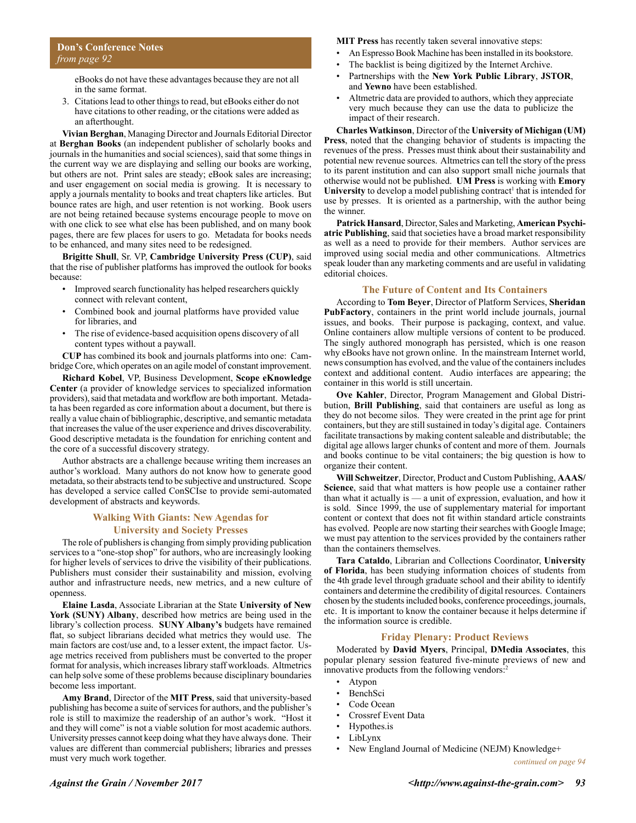eBooks do not have these advantages because they are not all in the same format.

3. Citations lead to other things to read, but eBooks either do not have citations to other reading, or the citations were added as an afterthought.

**Vivian Berghan**, Managing Director and Journals Editorial Director at **Berghan Books** (an independent publisher of scholarly books and journals in the humanities and social sciences), said that some things in the current way we are displaying and selling our books are working, but others are not. Print sales are steady; eBook sales are increasing; and user engagement on social media is growing. It is necessary to apply a journals mentality to books and treat chapters like articles. But bounce rates are high, and user retention is not working. Book users are not being retained because systems encourage people to move on with one click to see what else has been published, and on many book pages, there are few places for users to go. Metadata for books needs to be enhanced, and many sites need to be redesigned.

**Brigitte Shull**, Sr. VP, **Cambridge University Press (CUP)**, said that the rise of publisher platforms has improved the outlook for books because:

- Improved search functionality has helped researchers quickly connect with relevant content,
- Combined book and journal platforms have provided value for libraries, and
- The rise of evidence-based acquisition opens discovery of all content types without a paywall.

**CUP** has combined its book and journals platforms into one: Cambridge Core, which operates on an agile model of constant improvement.

**Richard Kobel**, VP, Business Development, **Scope eKnowledge Center** (a provider of knowledge services to specialized information providers), said that metadata and workflow are both important. Metadata has been regarded as core information about a document, but there is really a value chain of bibliographic, descriptive, and semantic metadata that increases the value of the user experience and drives discoverability. Good descriptive metadata is the foundation for enriching content and the core of a successful discovery strategy.

Author abstracts are a challenge because writing them increases an author's workload. Many authors do not know how to generate good metadata, so their abstracts tend to be subjective and unstructured. Scope has developed a service called ConSCIse to provide semi-automated development of abstracts and keywords.

### **Walking With Giants: New Agendas for University and Society Presses**

The role of publishers is changing from simply providing publication services to a "one-stop shop" for authors, who are increasingly looking for higher levels of services to drive the visibility of their publications. Publishers must consider their sustainability and mission, evolving author and infrastructure needs, new metrics, and a new culture of openness.

**Elaine Lasda**, Associate Librarian at the State **University of New York (SUNY) Albany**, described how metrics are being used in the library's collection process. **SUNY Albany's** budgets have remained flat, so subject librarians decided what metrics they would use. The main factors are cost/use and, to a lesser extent, the impact factor. Usage metrics received from publishers must be converted to the proper format for analysis, which increases library staff workloads. Altmetrics can help solve some of these problems because disciplinary boundaries become less important.

**Amy Brand**, Director of the **MIT Press**, said that university-based publishing has become a suite of services for authors, and the publisher's role is still to maximize the readership of an author's work. "Host it and they will come" is not a viable solution for most academic authors. University presses cannot keep doing what they have always done. Their values are different than commercial publishers; libraries and presses must very much work together.

**MIT Press** has recently taken several innovative steps:

- An Espresso Book Machine has been installed in its bookstore.
- The backlist is being digitized by the Internet Archive.
- Partnerships with the **New York Public Library**, **JSTOR**, and **Yewno** have been established.
- Altmetric data are provided to authors, which they appreciate very much because they can use the data to publicize the impact of their research.

**Charles Watkinson**, Director of the **University of Michigan (UM) Press**, noted that the changing behavior of students is impacting the revenues of the press. Presses must think about their sustainability and potential new revenue sources. Altmetrics can tell the story of the press to its parent institution and can also support small niche journals that otherwise would not be published. **UM Press** is working with **Emory**  University to develop a model publishing contract<sup>1</sup> that is intended for use by presses. It is oriented as a partnership, with the author being the winner.

**Patrick Hansard**, Director, Sales and Marketing, **American Psychiatric Publishing**, said that societies have a broad market responsibility as well as a need to provide for their members. Author services are improved using social media and other communications. Altmetrics speak louder than any marketing comments and are useful in validating editorial choices.

#### **The Future of Content and Its Containers**

According to **Tom Beyer**, Director of Platform Services, **Sheridan PubFactory**, containers in the print world include journals, journal issues, and books. Their purpose is packaging, context, and value. Online containers allow multiple versions of content to be produced. The singly authored monograph has persisted, which is one reason why eBooks have not grown online. In the mainstream Internet world, news consumption has evolved, and the value of the containers includes context and additional content. Audio interfaces are appearing; the container in this world is still uncertain.

**Ove Kahler**, Director, Program Management and Global Distribution, **Brill Publishing**, said that containers are useful as long as they do not become silos. They were created in the print age for print containers, but they are still sustained in today's digital age. Containers facilitate transactions by making content saleable and distributable; the digital age allows larger chunks of content and more of them. Journals and books continue to be vital containers; the big question is how to organize their content.

**Will Schweitzer**, Director, Product and Custom Publishing, **AAAS/ Science**, said that what matters is how people use a container rather than what it actually is — a unit of expression, evaluation, and how it is sold. Since 1999, the use of supplementary material for important content or context that does not fit within standard article constraints has evolved. People are now starting their searches with Google Image; we must pay attention to the services provided by the containers rather than the containers themselves.

**Tara Cataldo**, Librarian and Collections Coordinator, **University of Florida**, has been studying information choices of students from the 4th grade level through graduate school and their ability to identify containers and determine the credibility of digital resources. Containers chosen by the students included books, conference proceedings, journals, etc. It is important to know the container because it helps determine if the information source is credible.

#### **Friday Plenary: Product Reviews**

Moderated by **David Myers**, Principal, **DMedia Associates**, this popular plenary session featured five-minute previews of new and innovative products from the following vendors:<sup>2</sup>

- Atypon
- BenchSci
- Code Ocean
- Crossref Event Data
- Hypothes.is
- LibLynx
- New England Journal of Medicine (NEJM) Knowledge+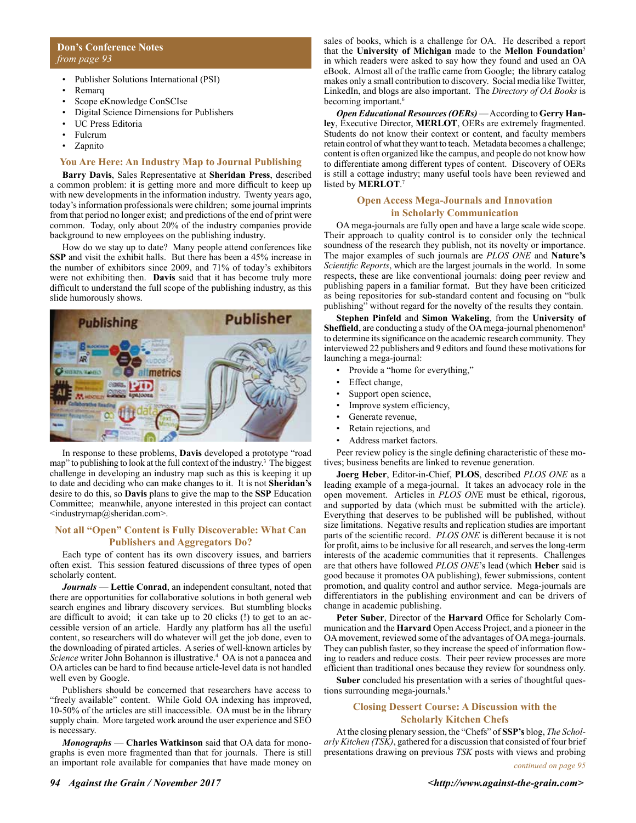### **Don's Conference Notes** *from page 93*

- Publisher Solutions International (PSI)
- Remarq
- Scope eKnowledge ConSCIse
- Digital Science Dimensions for Publishers
- UC Press Editoria
- Fulcrum
- Zapnito

#### **You Are Here: An Industry Map to Journal Publishing**

**Barry Davis**, Sales Representative at **Sheridan Press**, described a common problem: it is getting more and more difficult to keep up with new developments in the information industry. Twenty years ago, today's information professionals were children; some journal imprints from that period no longer exist; and predictions of the end of print were common. Today, only about 20% of the industry companies provide background to new employees on the publishing industry.

How do we stay up to date? Many people attend conferences like **SSP** and visit the exhibit halls. But there has been a 45% increase in the number of exhibitors since 2009, and 71% of today's exhibitors were not exhibiting then. **Davis** said that it has become truly more difficult to understand the full scope of the publishing industry, as this slide humorously shows.



In response to these problems, **Davis** developed a prototype "road map" to publishing to look at the full context of the industry.<sup>3</sup> The biggest challenge in developing an industry map such as this is keeping it up to date and deciding who can make changes to it. It is not **Sheridan's** desire to do this, so **Davis** plans to give the map to the **SSP** Education Committee; meanwhile, anyone interested in this project can contact <industrymap@sheridan.com>.

# **Not all "Open" Content is Fully Discoverable: What Can Publishers and Aggregators Do?**

Each type of content has its own discovery issues, and barriers often exist. This session featured discussions of three types of open scholarly content.

*Journals* — **Lettie Conrad**, an independent consultant, noted that there are opportunities for collaborative solutions in both general web search engines and library discovery services. But stumbling blocks are difficult to avoid; it can take up to 20 clicks (!) to get to an accessible version of an article. Hardly any platform has all the useful content, so researchers will do whatever will get the job done, even to the downloading of pirated articles. A series of well-known articles by Science writer John Bohannon is illustrative.<sup>4</sup> OA is not a panacea and OA articles can be hard to find because article-level data is not handled well even by Google.

Publishers should be concerned that researchers have access to "freely available" content. While Gold OA indexing has improved, 10-50% of the articles are still inaccessible. OA must be in the library supply chain. More targeted work around the user experience and SEO is necessary.

*Monographs* — **Charles Watkinson** said that OA data for monographs is even more fragmented than that for journals. There is still an important role available for companies that have made money on

sales of books, which is a challenge for OA. He described a report that the **University of Michigan** made to the **Mellon Foundation**<sup>5</sup> in which readers were asked to say how they found and used an OA eBook. Almost all of the traffic came from Google; the library catalog makes only a small contribution to discovery. Social media like Twitter, LinkedIn, and blogs are also important. The *Directory of OA Books* is becoming important.<sup>6</sup>

*Open Educational Resources (OERs)* — According to **Gerry Hanley**, Executive Director, **MERLOT**, OERs are extremely fragmented. Students do not know their context or content, and faculty members retain control of what they want to teach. Metadata becomes a challenge; content is often organized like the campus, and people do not know how to differentiate among different types of content. Discovery of OERs is still a cottage industry; many useful tools have been reviewed and listed by **MERLOT**. 7

# **Open Access Mega-Journals and Innovation in Scholarly Communication**

OA mega-journals are fully open and have a large scale wide scope. Their approach to quality control is to consider only the technical soundness of the research they publish, not its novelty or importance. The major examples of such journals are *PLOS ONE* and **Nature's** *Scientific Reports*, which are the largest journals in the world. In some respects, these are like conventional journals: doing peer review and publishing papers in a familiar format. But they have been criticized as being repositories for sub-standard content and focusing on "bulk publishing" without regard for the novelty of the results they contain.

**Stephen Pinfeld** and **Simon Wakeling**, from the **University of Sheffield**, are conducting a study of the OA mega-journal phenomenon<sup>8</sup> to determine its significance on the academic research community. They interviewed 22 publishers and 9 editors and found these motivations for launching a mega-journal:

- Provide a "home for everything,"
- Effect change,
- Support open science,
- Improve system efficiency,
- Generate revenue,
- Retain rejections, and
- Address market factors.

Peer review policy is the single defining characteristic of these motives; business benefits are linked to revenue generation.

**Joerg Heber**, Editor-in-Chief, **PLOS**, described *PLOS ONE* as a leading example of a mega-journal. It takes an advocacy role in the open movement. Articles in *PLOS ON*E must be ethical, rigorous, and supported by data (which must be submitted with the article). Everything that deserves to be published will be published, without size limitations. Negative results and replication studies are important parts of the scientific record. *PLOS ONE* is different because it is not for profit, aims to be inclusive for all research, and serves the long-term interests of the academic communities that it represents. Challenges are that others have followed *PLOS ONE*'s lead (which **Heber** said is good because it promotes OA publishing), fewer submissions, content promotion, and quality control and author service. Mega-journals are differentiators in the publishing environment and can be drivers of change in academic publishing.

**Peter Suber**, Director of the **Harvard** Office for Scholarly Communication and the **Harvard** Open Access Project, and a pioneer in the OA movement, reviewed some of the advantages of OA mega-journals. They can publish faster, so they increase the speed of information flowing to readers and reduce costs. Their peer review processes are more efficient than traditional ones because they review for soundness only.

**Suber** concluded his presentation with a series of thoughtful questions surrounding mega-journals.<sup>9</sup>

# **Closing Dessert Course: A Discussion with the Scholarly Kitchen Chefs**

At the closing plenary session, the "Chefs" of **SSP's** blog, *The Scholarly Kitchen (TSK)*, gathered for a discussion that consisted of four brief presentations drawing on previous *TSK* posts with views and probing